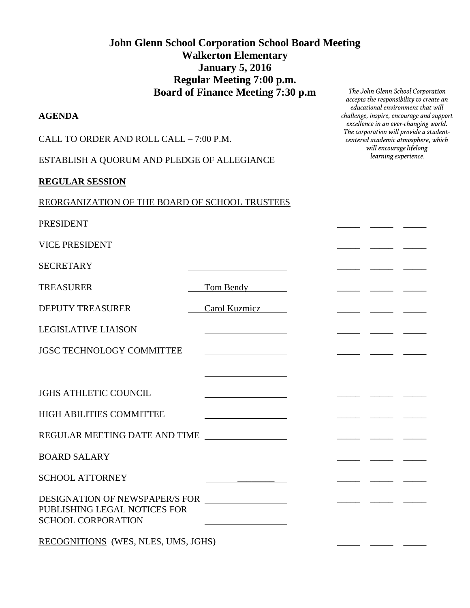# **John Glenn School Corporation School Board Meeting Walkerton Elementary January 5, 2016 Regular Meeting 7:00 p.m. Board of Finance Meeting 7:30 p.m**

#### **AGENDA**

CALL TO ORDER AND ROLL CALL – 7:00 P.M.

ESTABLISH A QUORUM AND PLEDGE OF ALLEGIANCE

#### **REGULAR SESSION**

| REORGANIZATION OF THE BOARD OF SCHOOL TRUSTEES |
|------------------------------------------------|
|------------------------------------------------|

PRESIDENT

VICE PRESIDENT **with the set of the set of the set of the set of the set of the set of the set of the set of the set of the set of the set of the set of the set of the set of the set of the set of the set of the set of the** 

SECRETARY **EXECUTE AND SECRETARY** 

TREASURER TREASURER Tom Bendy

DEPUTY TREASURER Carol Kuzmicz \_\_\_\_\_ \_\_\_\_ \_\_\_\_ \_\_\_\_ \_\_

LEGISLATIVE LIAISON \_\_\_\_\_ \_\_\_\_\_ \_\_\_\_\_

JGSC TECHNOLOGY COMMITTEE \_\_\_\_\_ \_\_\_\_\_ \_\_\_\_\_

JGHS ATHLETIC COUNCIL

HIGH ABILITIES COMMITTEE

REGULAR MEETING DATE AND TIME \_\_\_\_\_\_ \_\_\_ \_\_\_ \_\_

BOARD SALARY \_\_\_\_\_ \_\_\_\_\_ \_\_\_\_\_

SCHOOL ATTORNEY

DESIGNATION OF NEWSPAPER/S FOR \_\_\_\_\_ \_\_\_\_\_ \_\_\_\_\_ PUBLISHING LEGAL NOTICES FOR SCHOOL CORPORATION

RECOGNITIONS (WES, NLES, UMS, JGHS)

The John Glenn School Corporation accepts the responsibility to create an educational environment that will challenge, inspire, encourage and support excellence in an ever-changing world. The corporation will provide a studentcentered academic atmosphere, which will encourage lifelong learning experience.